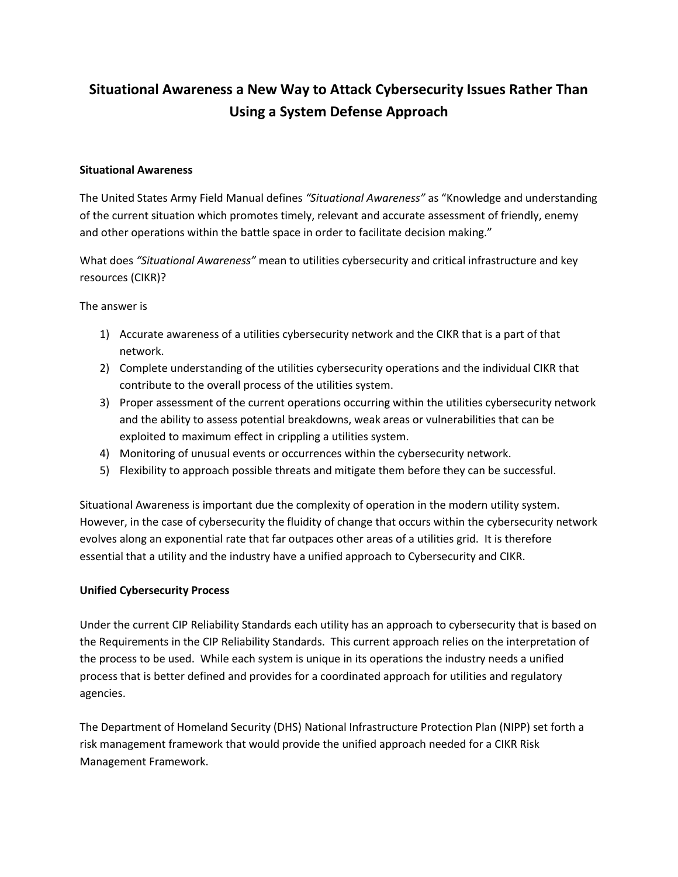# **Situational Awareness a New Way to Attack Cybersecurity Issues Rather Than Using a System Defense Approach**

#### **Situational Awareness**

The United States Army Field Manual defines *"Situational Awareness"* as "Knowledge and understanding of the current situation which promotes timely, relevant and accurate assessment of friendly, enemy and other operations within the battle space in order to facilitate decision making."

What does *"Situational Awareness"* mean to utilities cybersecurity and critical infrastructure and key resources (CIKR)?

The answer is

- 1) Accurate awareness of a utilities cybersecurity network and the CIKR that is a part of that network.
- 2) Complete understanding of the utilities cybersecurity operations and the individual CIKR that contribute to the overall process of the utilities system.
- 3) Proper assessment of the current operations occurring within the utilities cybersecurity network and the ability to assess potential breakdowns, weak areas or vulnerabilities that can be exploited to maximum effect in crippling a utilities system.
- 4) Monitoring of unusual events or occurrences within the cybersecurity network.
- 5) Flexibility to approach possible threats and mitigate them before they can be successful.

Situational Awareness is important due the complexity of operation in the modern utility system. However, in the case of cybersecurity the fluidity of change that occurs within the cybersecurity network evolves along an exponential rate that far outpaces other areas of a utilities grid. It is therefore essential that a utility and the industry have a unified approach to Cybersecurity and CIKR.

#### **Unified Cybersecurity Process**

Under the current CIP Reliability Standards each utility has an approach to cybersecurity that is based on the Requirements in the CIP Reliability Standards. This current approach relies on the interpretation of the process to be used. While each system is unique in its operations the industry needs a unified process that is better defined and provides for a coordinated approach for utilities and regulatory agencies.

The Department of Homeland Security (DHS) National Infrastructure Protection Plan (NIPP) set forth a risk management framework that would provide the unified approach needed for a CIKR Risk Management Framework.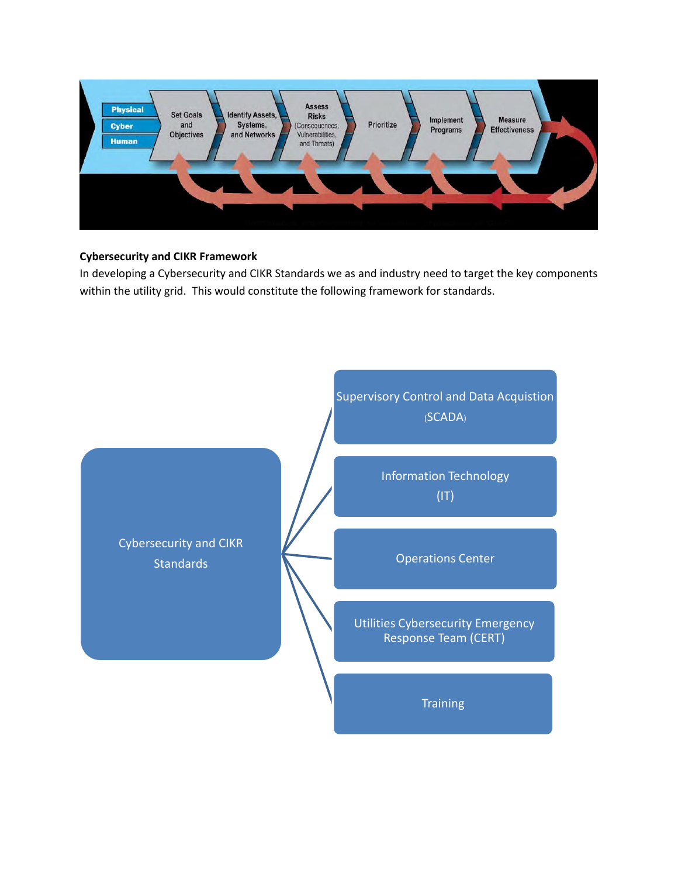

## **Cybersecurity and CIKR Framework**

In developing a Cybersecurity and CIKR Standards we as and industry need to target the key components within the utility grid. This would constitute the following framework for standards.

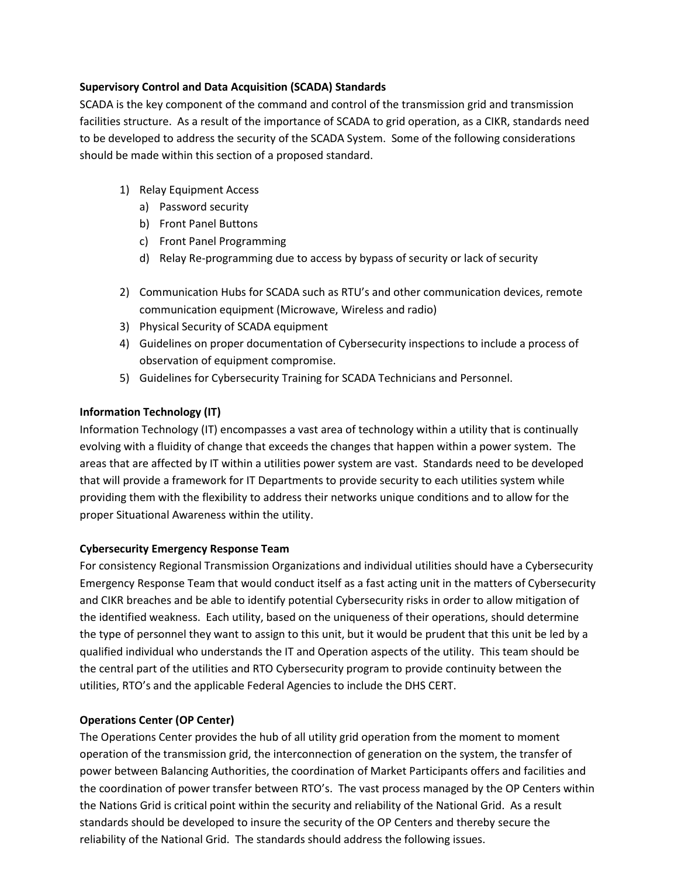#### **Supervisory Control and Data Acquisition (SCADA) Standards**

SCADA is the key component of the command and control of the transmission grid and transmission facilities structure. As a result of the importance of SCADA to grid operation, as a CIKR, standards need to be developed to address the security of the SCADA System. Some of the following considerations should be made within this section of a proposed standard.

- 1) Relay Equipment Access
	- a) Password security
	- b) Front Panel Buttons
	- c) Front Panel Programming
	- d) Relay Re-programming due to access by bypass of security or lack of security
- 2) Communication Hubs for SCADA such as RTU's and other communication devices, remote communication equipment (Microwave, Wireless and radio)
- 3) Physical Security of SCADA equipment
- 4) Guidelines on proper documentation of Cybersecurity inspections to include a process of observation of equipment compromise.
- 5) Guidelines for Cybersecurity Training for SCADA Technicians and Personnel.

# **Information Technology (IT)**

Information Technology (IT) encompasses a vast area of technology within a utility that is continually evolving with a fluidity of change that exceeds the changes that happen within a power system. The areas that are affected by IT within a utilities power system are vast. Standards need to be developed that will provide a framework for IT Departments to provide security to each utilities system while providing them with the flexibility to address their networks unique conditions and to allow for the proper Situational Awareness within the utility.

## **Cybersecurity Emergency Response Team**

For consistency Regional Transmission Organizations and individual utilities should have a Cybersecurity Emergency Response Team that would conduct itself as a fast acting unit in the matters of Cybersecurity and CIKR breaches and be able to identify potential Cybersecurity risks in order to allow mitigation of the identified weakness. Each utility, based on the uniqueness of their operations, should determine the type of personnel they want to assign to this unit, but it would be prudent that this unit be led by a qualified individual who understands the IT and Operation aspects of the utility. This team should be the central part of the utilities and RTO Cybersecurity program to provide continuity between the utilities, RTO's and the applicable Federal Agencies to include the DHS CERT.

## **Operations Center (OP Center)**

The Operations Center provides the hub of all utility grid operation from the moment to moment operation of the transmission grid, the interconnection of generation on the system, the transfer of power between Balancing Authorities, the coordination of Market Participants offers and facilities and the coordination of power transfer between RTO's. The vast process managed by the OP Centers within the Nations Grid is critical point within the security and reliability of the National Grid. As a result standards should be developed to insure the security of the OP Centers and thereby secure the reliability of the National Grid. The standards should address the following issues.